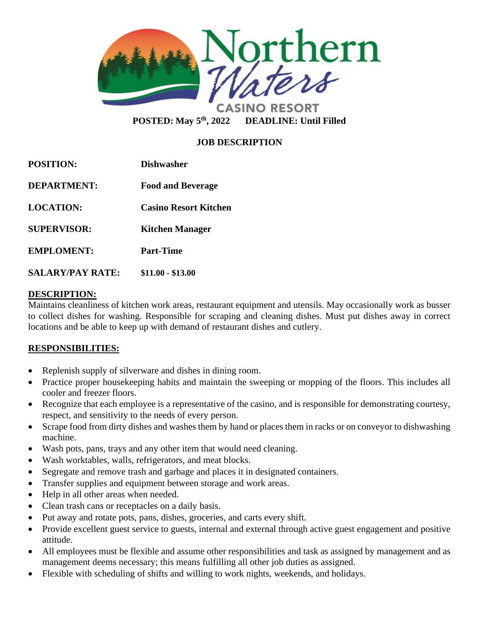

**POSTED: May 5th, 2022 DEADLINE: Until Filled** 

# **JOB DESCRIPTION**

| <b>POSITION:</b>        | <b>Dishwasher</b>            |
|-------------------------|------------------------------|
| <b>DEPARTMENT:</b>      | <b>Food and Beverage</b>     |
| <b>LOCATION:</b>        | <b>Casino Resort Kitchen</b> |
| <b>SUPERVISOR:</b>      | <b>Kitchen Manager</b>       |
| <b>EMPLOMENT:</b>       | <b>Part-Time</b>             |
| <b>SALARY/PAY RATE:</b> | \$11.00 - \$13.00            |

#### **DESCRIPTION:**

Maintains cleanliness of kitchen work areas, restaurant equipment and utensils. May occasionally work as busser to collect dishes for washing. Responsible for scraping and cleaning dishes. Must put dishes away in correct locations and be able to keep up with demand of restaurant dishes and cutlery.

### **RESPONSIBILITIES:**

- Replenish supply of silverware and dishes in dining room.
- Practice proper housekeeping habits and maintain the sweeping or mopping of the floors. This includes all cooler and freezer floors.
- Recognize that each employee is a representative of the casino, and is responsible for demonstrating courtesy, respect, and sensitivity to the needs of every person.
- Scrape food from dirty dishes and washes them by hand or places them in racks or on conveyor to dishwashing machine.
- Wash pots, pans, trays and any other item that would need cleaning.
- Wash worktables, walls, refrigerators, and meat blocks.
- Segregate and remove trash and garbage and places it in designated containers.
- Transfer supplies and equipment between storage and work areas.
- Help in all other areas when needed.
- Clean trash cans or receptacles on a daily basis.
- Put away and rotate pots, pans, dishes, groceries, and carts every shift.
- Provide excellent guest service to guests, internal and external through active guest engagement and positive attitude.
- All employees must be flexible and assume other responsibilities and task as assigned by management and as management deems necessary; this means fulfilling all other job duties as assigned.
- Flexible with scheduling of shifts and willing to work nights, weekends, and holidays.